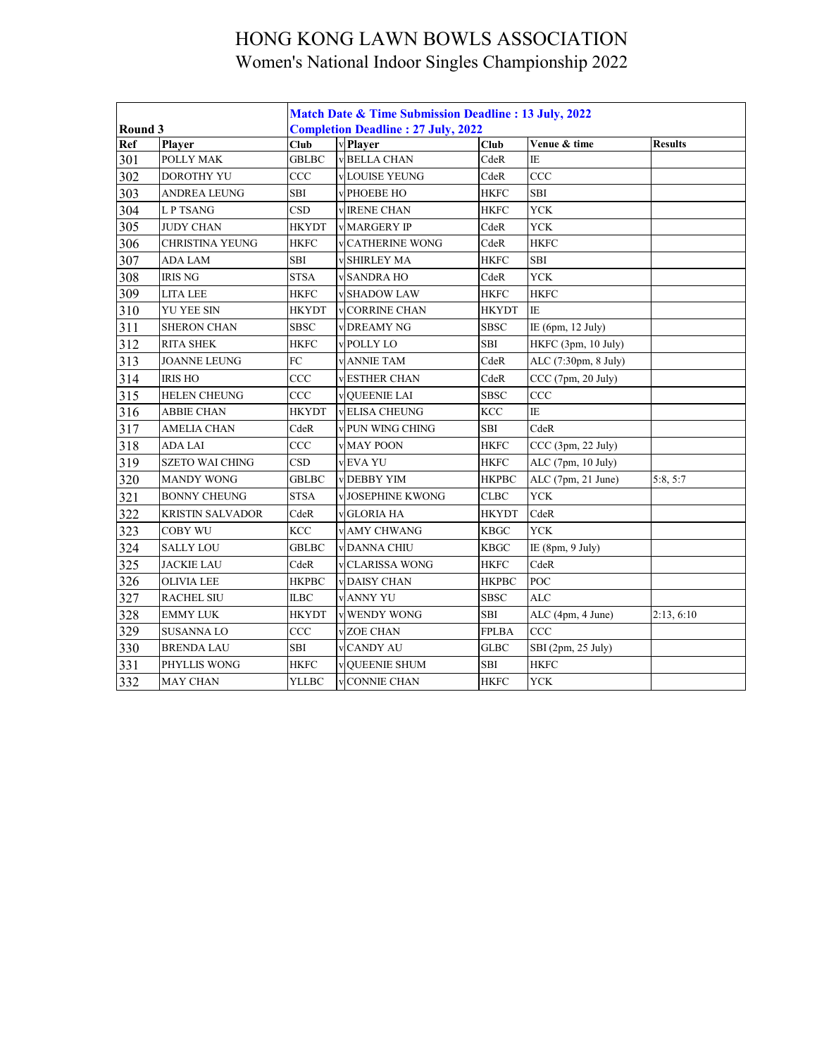|         |                        | Match Date & Time Submission Deadline: 13 July, 2022 |  |                                           |              |                      |                |  |  |  |
|---------|------------------------|------------------------------------------------------|--|-------------------------------------------|--------------|----------------------|----------------|--|--|--|
| Round 3 |                        |                                                      |  | <b>Completion Deadline: 27 July, 2022</b> |              |                      |                |  |  |  |
| Ref     | Player                 | <b>Club</b>                                          |  | v Player                                  | Club         | Venue & time         | <b>Results</b> |  |  |  |
| 301     | POLLY MAK              | <b>GBLBC</b>                                         |  | v BELLA CHAN                              | CdeR         | IE.                  |                |  |  |  |
| 302     | <b>DOROTHY YU</b>      | CCC                                                  |  | v LOUISE YEUNG                            | CdeR         | CCC                  |                |  |  |  |
| 303     | <b>ANDREA LEUNG</b>    | <b>SBI</b>                                           |  | v PHOEBE HO                               | <b>HKFC</b>  | SBI                  |                |  |  |  |
| 304     | <b>LP TSANG</b>        | <b>CSD</b>                                           |  | v <b>IRENE CHAN</b>                       | <b>HKFC</b>  | <b>YCK</b>           |                |  |  |  |
| 305     | <b>JUDY CHAN</b>       | <b>HKYDT</b>                                         |  | <b>V MARGERY IP</b>                       | CdeR         | <b>YCK</b>           |                |  |  |  |
| 306     | <b>CHRISTINA YEUNG</b> | <b>HKFC</b>                                          |  | <b>CATHERINE WONG</b>                     | CdeR         | <b>HKFC</b>          |                |  |  |  |
| 307     | <b>ADA LAM</b>         | SBI                                                  |  | <b>v SHIRLEY MA</b>                       | <b>HKFC</b>  | SBI                  |                |  |  |  |
| 308     | <b>IRIS NG</b>         | <b>STSA</b>                                          |  | <b>v SANDRA HO</b>                        | CdeR         | <b>YCK</b>           |                |  |  |  |
| 309     | <b>LITA LEE</b>        | <b>HKFC</b>                                          |  | v SHADOW LAW                              | <b>HKFC</b>  | <b>HKFC</b>          |                |  |  |  |
| 310     | YU YEE SIN             | HKYDT                                                |  | <b>v</b> CORRINE CHAN                     | <b>HKYDT</b> | IE                   |                |  |  |  |
| 311     | <b>SHERON CHAN</b>     | <b>SBSC</b>                                          |  | <b>v DREAMY NG</b>                        | <b>SBSC</b>  | IE (6pm, 12 July)    |                |  |  |  |
| 312     | <b>RITA SHEK</b>       | <b>HKFC</b>                                          |  | <b>v POLLY LO</b>                         | SBI          | HKFC (3pm, 10 July)  |                |  |  |  |
| 313     | <b>JOANNE LEUNG</b>    | FC                                                   |  | <b>v</b> ANNIE TAM                        | CdeR         | ALC (7:30pm, 8 July) |                |  |  |  |
| 314     | <b>IRIS HO</b>         | CCC                                                  |  | <b>vESTHER CHAN</b>                       | CdeR         | CCC (7pm, 20 July)   |                |  |  |  |
| 315     | <b>HELEN CHEUNG</b>    | CCC                                                  |  | <b>v</b> OUEENIE LAI                      | <b>SBSC</b>  | CCC                  |                |  |  |  |
| 316     | <b>ABBIE CHAN</b>      | <b>HKYDT</b>                                         |  | vELISA CHEUNG                             | <b>KCC</b>   | IE                   |                |  |  |  |
| 317     | <b>AMELIA CHAN</b>     | CdeR                                                 |  | v PUN WING CHING                          | SBI          | CdeR                 |                |  |  |  |
| 318     | <b>ADA LAI</b>         | CCC                                                  |  | v MAY POON                                | <b>HKFC</b>  | CCC (3pm, 22 July)   |                |  |  |  |
| 319     | <b>SZETO WAI CHING</b> | <b>CSD</b>                                           |  | v EVA YU                                  | <b>HKFC</b>  | ALC (7pm, 10 July)   |                |  |  |  |
| 320     | <b>MANDY WONG</b>      | <b>GBLBC</b>                                         |  | <b>v</b> DEBBY YIM                        | <b>HKPBC</b> | ALC (7pm, 21 June)   | 5:8, 5:7       |  |  |  |
| 321     | <b>BONNY CHEUNG</b>    | <b>STSA</b>                                          |  | <b>JOSEPHINE KWONG</b>                    | CLBC         | <b>YCK</b>           |                |  |  |  |
| 322     | KRISTIN SALVADOR       | CdeR                                                 |  | v GLORIA HA                               | <b>HKYDT</b> | CdeR                 |                |  |  |  |
| 323     | <b>COBY WU</b>         | <b>KCC</b>                                           |  | <b>v</b> AMY CHWANG                       | <b>KBGC</b>  | <b>YCK</b>           |                |  |  |  |
| 324     | <b>SALLY LOU</b>       | <b>GBLBC</b>                                         |  | <b>v DANNA CHIU</b>                       | <b>KBGC</b>  | IE $(8pm, 9$ July)   |                |  |  |  |
| 325     | <b>JACKIE LAU</b>      | CdeR                                                 |  | <b>v</b> CLARISSA WONG                    | <b>HKFC</b>  | CdeR                 |                |  |  |  |
| 326     | <b>OLIVIA LEE</b>      | <b>HKPBC</b>                                         |  | v DAISY CHAN                              | <b>HKPBC</b> | POC                  |                |  |  |  |
| 327     | <b>RACHEL SIU</b>      | <b>ILBC</b>                                          |  | v ANNY YU                                 | <b>SBSC</b>  | ALC                  |                |  |  |  |
| 328     | <b>EMMY LUK</b>        | <b>HKYDT</b>                                         |  | v WENDY WONG                              | <b>SBI</b>   | ALC (4pm, 4 June)    | 2:13, 6:10     |  |  |  |
| 329     | SUSANNA LO             | CCC                                                  |  | v ZOE CHAN                                | <b>FPLBA</b> | CCC                  |                |  |  |  |
| 330     | <b>BRENDA LAU</b>      | <b>SBI</b>                                           |  | vCANDY AU                                 | <b>GLBC</b>  | SBI (2pm, 25 July)   |                |  |  |  |
| 331     | PHYLLIS WONG           | <b>HKFC</b>                                          |  | v QUEENIE SHUM                            | <b>SBI</b>   | <b>HKFC</b>          |                |  |  |  |
| 332     | MAY CHAN               | <b>YLLBC</b>                                         |  | v CONNIE CHAN                             | <b>HKFC</b>  | <b>YCK</b>           |                |  |  |  |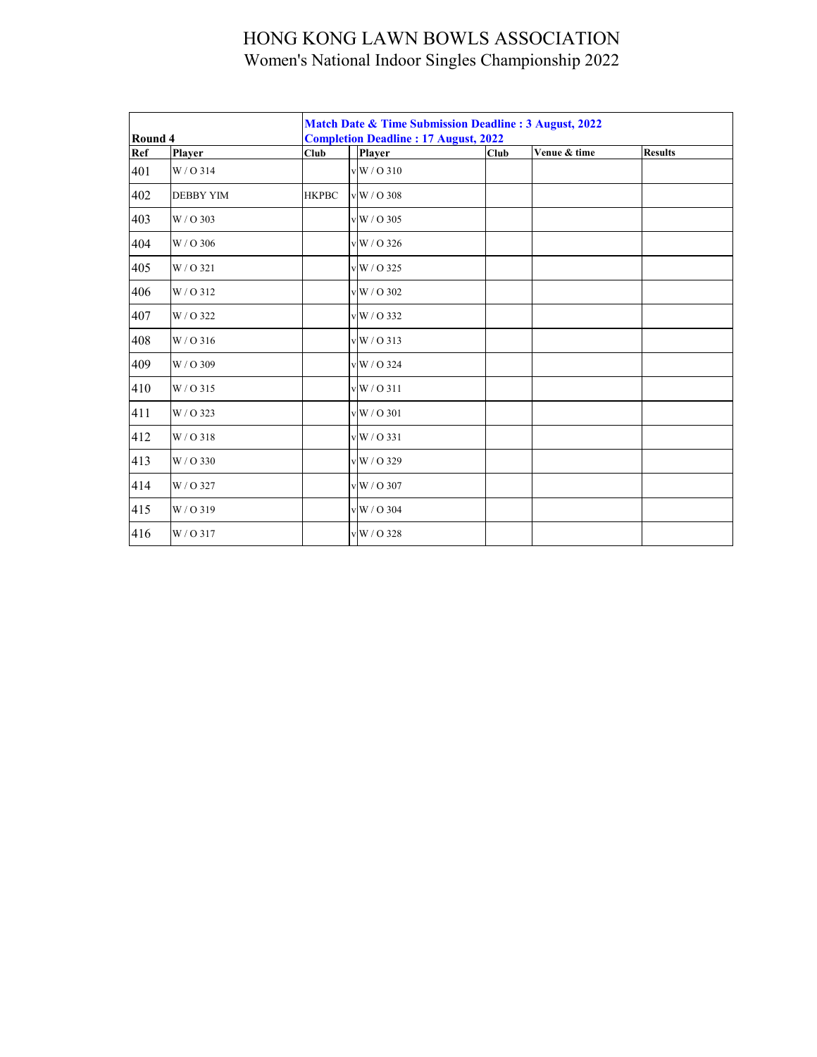|         |                  |              | Match Date & Time Submission Deadline: 3 August, 2022<br><b>Completion Deadline: 17 August, 2022</b> |                          |              |                |  |  |  |  |  |  |
|---------|------------------|--------------|------------------------------------------------------------------------------------------------------|--------------------------|--------------|----------------|--|--|--|--|--|--|
| Round 4 |                  |              |                                                                                                      |                          | Venue & time | <b>Results</b> |  |  |  |  |  |  |
| Ref     | Player           | Club         |                                                                                                      | <b>Player</b>            | Club         |                |  |  |  |  |  |  |
| 401     | W/O314           |              |                                                                                                      | v W / O 310              |              |                |  |  |  |  |  |  |
| 402     | <b>DEBBY YIM</b> | <b>HKPBC</b> |                                                                                                      | v W / O 308              |              |                |  |  |  |  |  |  |
| 403     | W / O 303        |              |                                                                                                      | $v$ W / O 305            |              |                |  |  |  |  |  |  |
| 404     | W/O 306          |              |                                                                                                      | v W / O 326              |              |                |  |  |  |  |  |  |
| 405     | W/O 321          |              |                                                                                                      | v W / O 325              |              |                |  |  |  |  |  |  |
| 406     | W/O312           |              |                                                                                                      | $v$ W / O 302            |              |                |  |  |  |  |  |  |
| 407     | W / O 322        |              |                                                                                                      | v W / O 332              |              |                |  |  |  |  |  |  |
| 408     | W/O 316          |              |                                                                                                      | $v$ <sub>W</sub> / O 313 |              |                |  |  |  |  |  |  |
| 409     | W / O 309        |              |                                                                                                      | v W / O 324              |              |                |  |  |  |  |  |  |
| 410     | W/O 315          |              |                                                                                                      | v W / O 311              |              |                |  |  |  |  |  |  |
| 411     | W/O 323          |              |                                                                                                      | v W / O 301              |              |                |  |  |  |  |  |  |
| 412     | W/O318           |              |                                                                                                      | v W / O 331              |              |                |  |  |  |  |  |  |
| 413     | W / O 330        |              |                                                                                                      | v W / O 329              |              |                |  |  |  |  |  |  |
| 414     | W / O 327        |              |                                                                                                      | $vW/O$ 307               |              |                |  |  |  |  |  |  |
| 415     | W/O319           |              |                                                                                                      | v W / O 304              |              |                |  |  |  |  |  |  |
| 416     | W/O 317          |              |                                                                                                      | $vW/O$ 328               |              |                |  |  |  |  |  |  |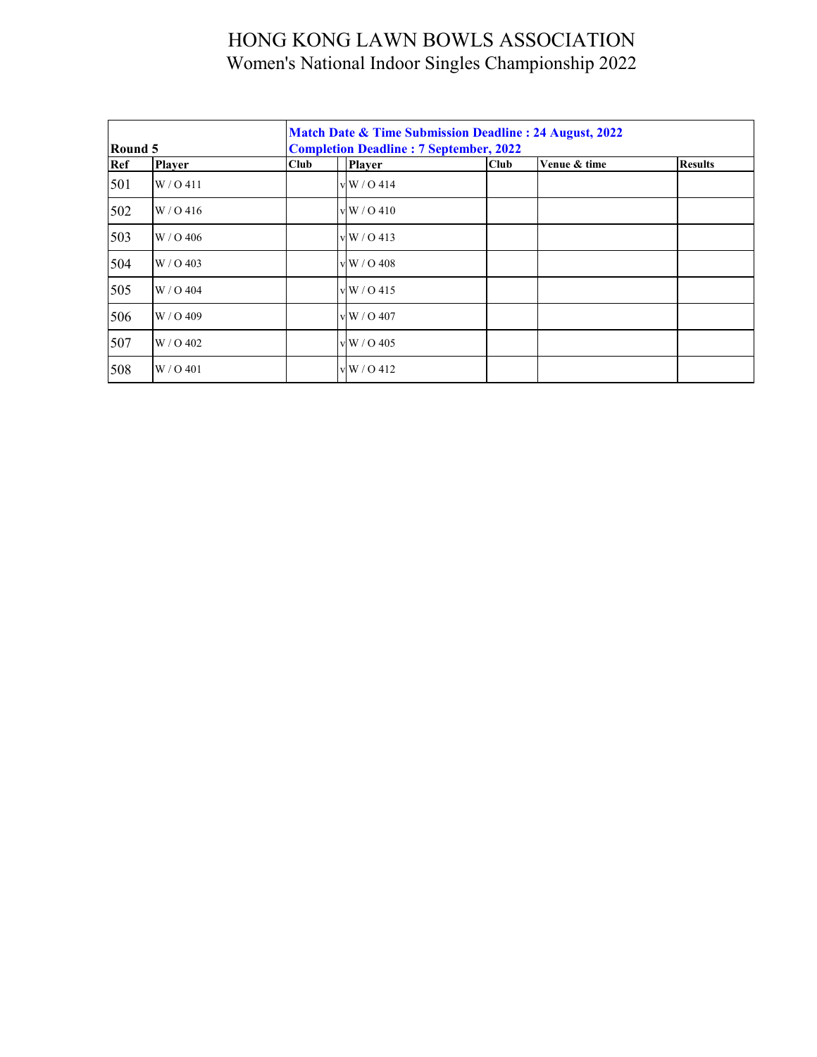| Round 5 |               |      | <b>Match Date &amp; Time Submission Deadline : 24 August, 2022</b><br><b>Completion Deadline: 7 September, 2022</b> |             |              |                |  |  |  |  |  |
|---------|---------------|------|---------------------------------------------------------------------------------------------------------------------|-------------|--------------|----------------|--|--|--|--|--|
| Ref     | <b>Player</b> | Club | <b>Player</b>                                                                                                       | <b>Club</b> | Venue & time | <b>Results</b> |  |  |  |  |  |
| 501     | W / O 411     |      | vW/0414                                                                                                             |             |              |                |  |  |  |  |  |
| 502     | W/0.416       |      | vW/0410                                                                                                             |             |              |                |  |  |  |  |  |
| 503     | W/O 406       |      | vW/0413                                                                                                             |             |              |                |  |  |  |  |  |
| 504     | $W / O$ 403   |      | $\rm v \, W$ / O 408                                                                                                |             |              |                |  |  |  |  |  |
| 505     | W / O 404     |      | vW/0415                                                                                                             |             |              |                |  |  |  |  |  |
| 506     | W / O 409     |      | v W / O 407                                                                                                         |             |              |                |  |  |  |  |  |
| 507     | W / O 402     |      | v W / O 405                                                                                                         |             |              |                |  |  |  |  |  |
| 508     | W / O 401     |      | v W / O 412                                                                                                         |             |              |                |  |  |  |  |  |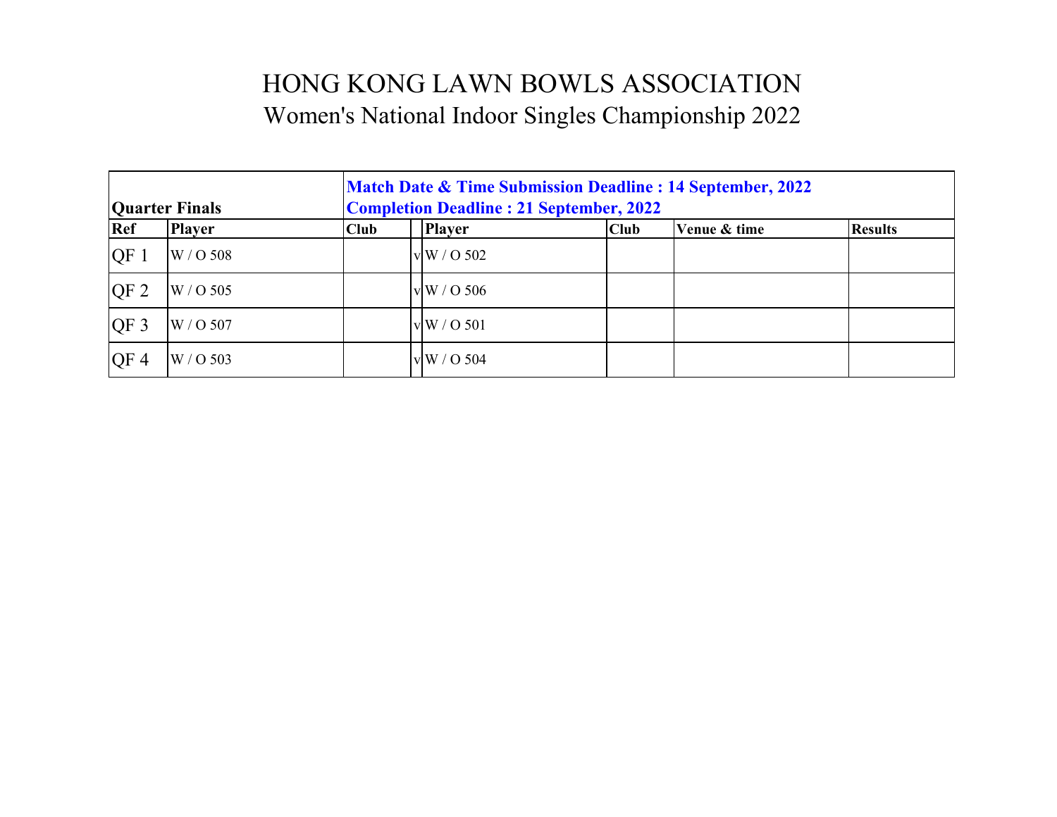| <b>Quarter Finals</b> |               | <b>Match Date &amp; Time Submission Deadline : 14 September, 2022</b><br><b>Completion Deadline: 21 September, 2022</b> |                    |             |              |                |  |  |
|-----------------------|---------------|-------------------------------------------------------------------------------------------------------------------------|--------------------|-------------|--------------|----------------|--|--|
| Ref                   | <b>Player</b> | Club                                                                                                                    | <b>Player</b>      | <b>Club</b> | Venue & time | <b>Results</b> |  |  |
| QF1                   | W / O 508     |                                                                                                                         | v W / O 502        |             |              |                |  |  |
| QF <sub>2</sub>       | W / O 505     |                                                                                                                         | $\rm v\,W$ / O 506 |             |              |                |  |  |
| OF <sub>3</sub>       | W / O 507     |                                                                                                                         | vW/O 501           |             |              |                |  |  |
| QF <sub>4</sub>       | W / O 503     |                                                                                                                         | v W / O 504        |             |              |                |  |  |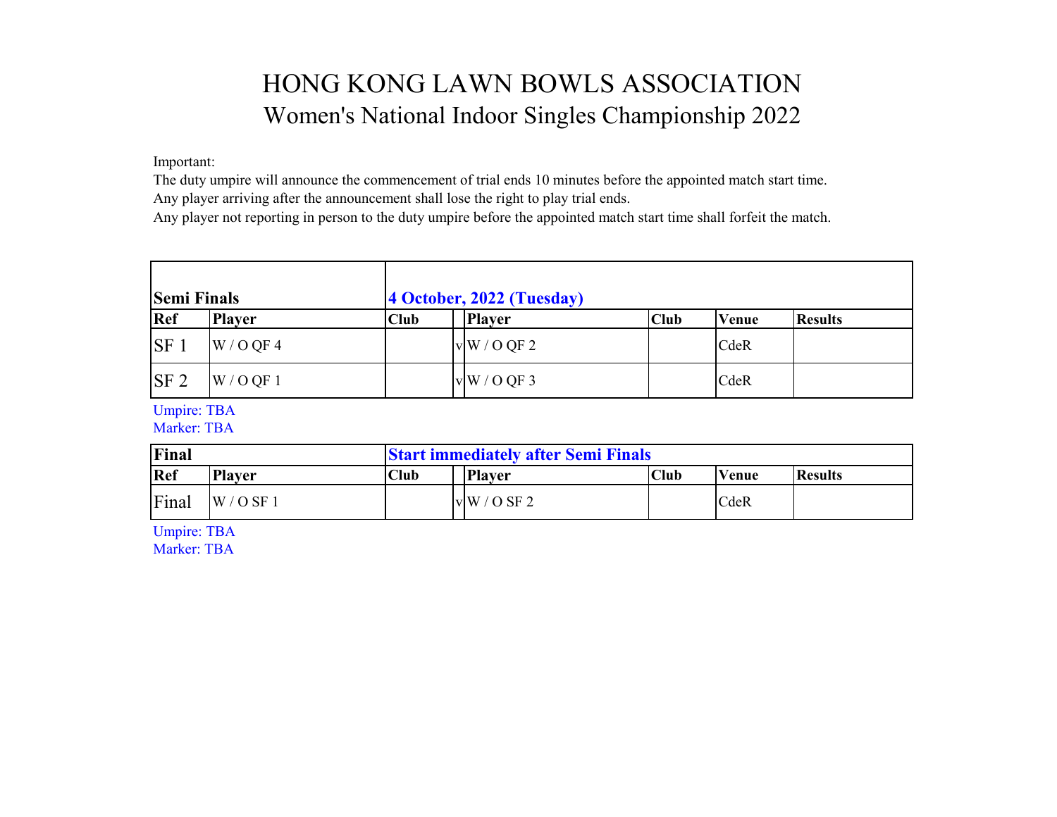Important:

The duty umpire will announce the commencement of trial ends 10 minutes before the appointed match start time. Any player arriving after the announcement shall lose the right to play trial ends.

Any player not reporting in person to the duty umpire before the appointed match start time shall forfeit the match.

| <b>Semi Finals</b> |               |             | 4 October, 2022 (Tuesday) |             |              |                |
|--------------------|---------------|-------------|---------------------------|-------------|--------------|----------------|
| Ref                | <b>Player</b> | <b>Club</b> | <b>Player</b>             | <b>Club</b> | <b>Venue</b> | <b>Results</b> |
| SF <sub>1</sub>    | W / O QF 4    |             | vW/OQF2                   |             | CdeR         |                |
| SF <sub>2</sub>    | W / O QF 1    |             | vW/OQF3                   |             | CdeR         |                |

Umpire: TBA

Marker: TBA

| Final                |            |             | <b>Start immediately after Semi Finals</b> |      |              |                |  |  |
|----------------------|------------|-------------|--------------------------------------------|------|--------------|----------------|--|--|
| Ref<br><b>Player</b> |            | <b>Club</b> | <b>Player</b>                              | Club | <b>Venue</b> | <b>Results</b> |  |  |
| Final                | $W/O$ SF 1 |             | vW/OSF2                                    |      | CdeR         |                |  |  |

Umpire: TBA

Marker: TBA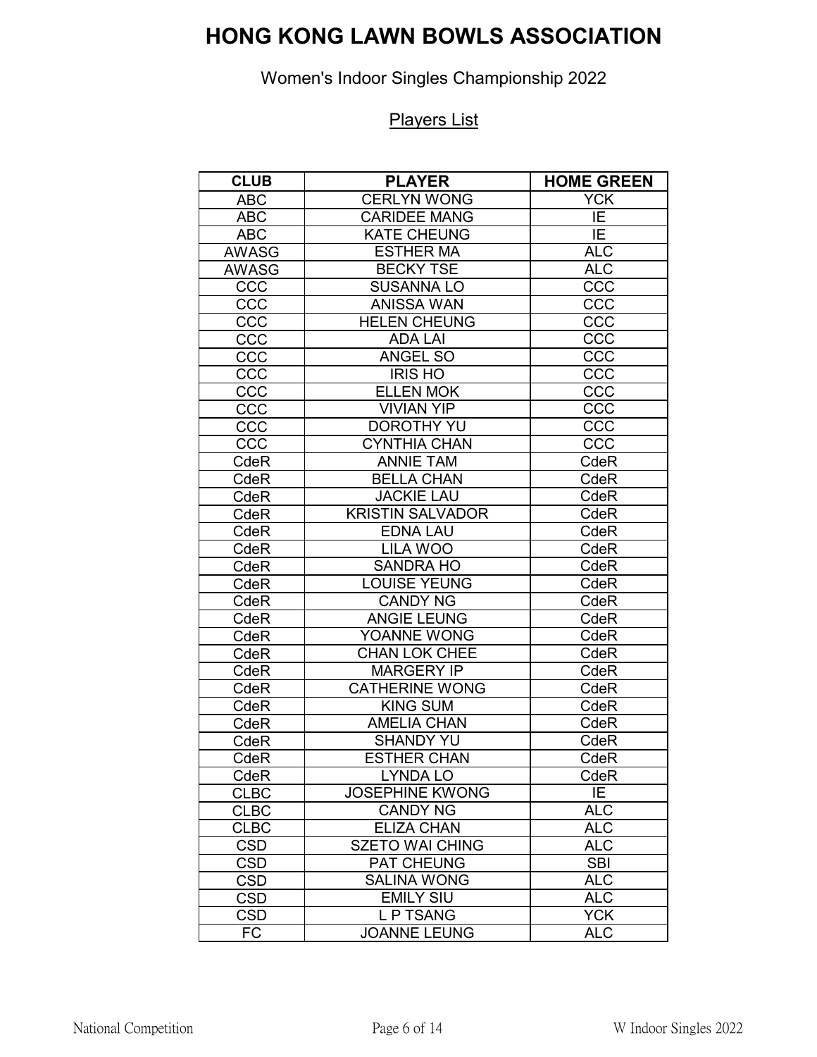Women's Indoor Singles Championship 2022

| <b>CLUB</b>  | <b>PLAYER</b>           | <b>HOME GREEN</b> |
|--------------|-------------------------|-------------------|
| <b>ABC</b>   | <b>CERLYN WONG</b>      | <b>YCK</b>        |
| <b>ABC</b>   | <b>CARIDEE MANG</b>     | IE                |
| <b>ABC</b>   | <b>KATE CHEUNG</b>      | IE                |
| <b>AWASG</b> | <b>ESTHER MA</b>        | <b>ALC</b>        |
| <b>AWASG</b> | <b>BECKY TSE</b>        | ALC               |
| CCC          | <b>SUSANNA LO</b>       | CCC               |
| CCC          | <b>ANISSA WAN</b>       | CCC               |
| CCC          | <b>HELEN CHEUNG</b>     | CCC               |
| CCC          | <b>ADA LAI</b>          | CCC               |
| CCC          | <b>ANGEL SO</b>         | CCC               |
| CCC          | <b>IRIS HO</b>          | CCC               |
| CCC          | <b>ELLEN MOK</b>        | CCC               |
| CCC          | <b>VIVIAN YIP</b>       | CCC               |
| CCC          | <b>DOROTHY YU</b>       | CCC               |
| CCC          | <b>CYNTHIA CHAN</b>     | CCC               |
| CdeR         | <b>ANNIE TAM</b>        | CdeR              |
| CdeR         | <b>BELLA CHAN</b>       | CdeR              |
| CdeR         | <b>JACKIE LAU</b>       | CdeR              |
| CdeR         | <b>KRISTIN SALVADOR</b> | CdeR              |
| CdeR         | <b>EDNA LAU</b>         | CdeR              |
| CdeR         | <b>LILA WOO</b>         | CdeR              |
| CdeR         | <b>SANDRA HO</b>        | CdeR              |
| CdeR         | <b>LOUISE YEUNG</b>     | CdeR              |
| CdeR         | <b>CANDY NG</b>         | CdeR              |
| CdeR         | <b>ANGIE LEUNG</b>      | CdeR              |
| CdeR         | YOANNE WONG             | CdeR              |
| CdeR         | <b>CHAN LOK CHEE</b>    | CdeR              |
| CdeR         | <b>MARGERY IP</b>       | CdeR              |
| CdeR         | <b>CATHERINE WONG</b>   | CdeR              |
| CdeR         | <b>KING SUM</b>         | CdeR              |
| CdeR         | <b>AMELIA CHAN</b>      | CdeR              |
| CdeR         | <b>SHANDY YU</b>        | CdeR              |
| CdeR         | <b>ESTHER CHAN</b>      | CdeR              |
| CdeR         | <b>LYNDA LO</b>         | CdeR              |
| <b>CLBC</b>  | <b>JOSEPHINE KWONG</b>  | IE                |
| <b>CLBC</b>  | <b>CANDY NG</b>         | <b>ALC</b>        |
| <b>CLBC</b>  | <b>ELIZA CHAN</b>       | <b>ALC</b>        |
| <b>CSD</b>   | <b>SZETO WAI CHING</b>  | <b>ALC</b>        |
| <b>CSD</b>   | <b>PAT CHEUNG</b>       | <b>SBI</b>        |
| <b>CSD</b>   | <b>SALINA WONG</b>      | $\overline{ALC}$  |
| <b>CSD</b>   | <b>EMILY SIU</b>        | <b>ALC</b>        |
| <b>CSD</b>   | <b>LPTSANG</b>          | <b>YCK</b>        |
| FC           | <b>JOANNE LEUNG</b>     | <b>ALC</b>        |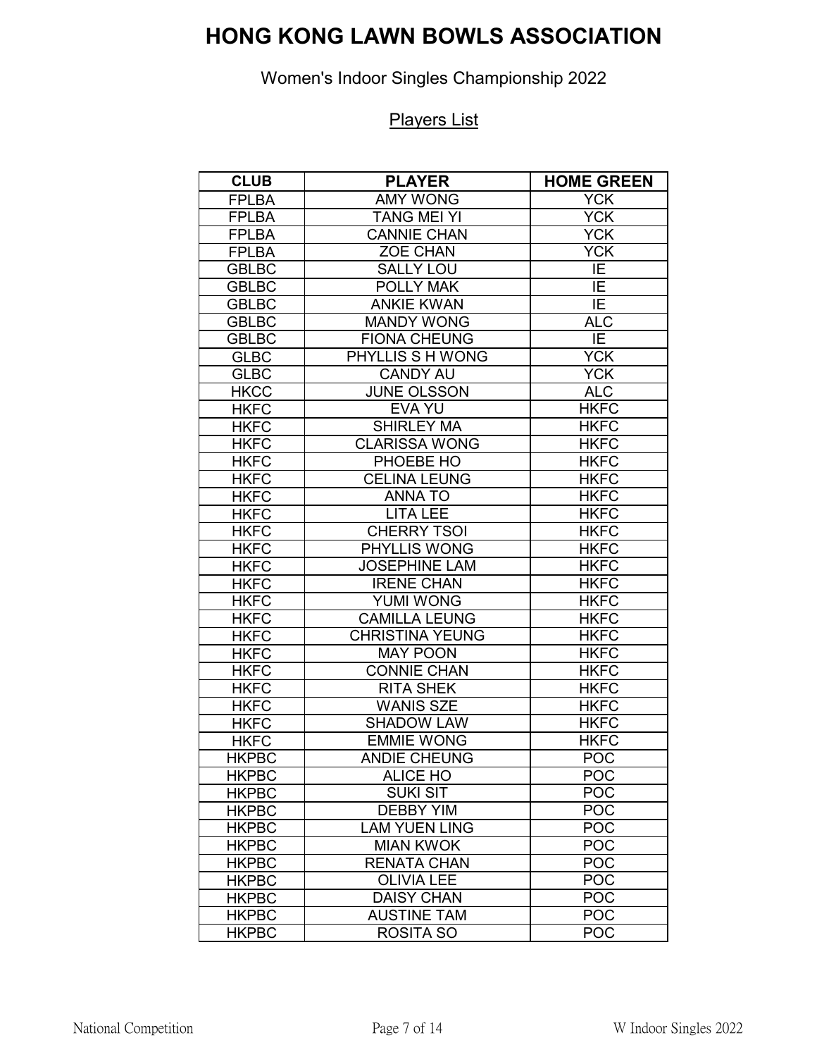Women's Indoor Singles Championship 2022

| <b>CLUB</b>  | <b>PLAYER</b>          | <b>HOME GREEN</b> |
|--------------|------------------------|-------------------|
| <b>FPLBA</b> | <b>AMY WONG</b>        | <b>YCK</b>        |
| <b>FPLBA</b> | <b>TANG MEI YI</b>     | <b>YCK</b>        |
| <b>FPLBA</b> | <b>CANNIE CHAN</b>     | <b>YCK</b>        |
| <b>FPLBA</b> | ZOE CHAN               | <b>YCK</b>        |
| <b>GBLBC</b> | <b>SALLY LOU</b>       | $\overline{IE}$   |
| <b>GBLBC</b> | <b>POLLY MAK</b>       | ΙE                |
| <b>GBLBC</b> | <b>ANKIE KWAN</b>      | ΙE                |
| <b>GBLBC</b> | <b>MANDY WONG</b>      | <b>ALC</b>        |
| <b>GBLBC</b> | <b>FIONA CHEUNG</b>    | IE                |
| <b>GLBC</b>  | PHYLLIS S H WONG       | <b>YCK</b>        |
| <b>GLBC</b>  | <b>CANDY AU</b>        | <b>YCK</b>        |
| <b>HKCC</b>  | <b>JUNE OLSSON</b>     | <b>ALC</b>        |
| <b>HKFC</b>  | <b>EVA YU</b>          | <b>HKFC</b>       |
| <b>HKFC</b>  | <b>SHIRLEY MA</b>      | <b>HKFC</b>       |
| <b>HKFC</b>  | <b>CLARISSA WONG</b>   | <b>HKFC</b>       |
| <b>HKFC</b>  | PHOEBE HO              | <b>HKFC</b>       |
| <b>HKFC</b>  | <b>CELINA LEUNG</b>    | HKFC              |
| <b>HKFC</b>  | <b>ANNATO</b>          | <b>HKFC</b>       |
| <b>HKFC</b>  | <b>LITA LEE</b>        | <b>HKFC</b>       |
| <b>HKFC</b>  | <b>CHERRY TSOI</b>     | <b>HKFC</b>       |
| <b>HKFC</b>  | PHYLLIS WONG           | <b>HKFC</b>       |
| <b>HKFC</b>  | <b>JOSEPHINE LAM</b>   | <b>HKFC</b>       |
| <b>HKFC</b>  | <b>IRENE CHAN</b>      | <b>HKFC</b>       |
| <b>HKFC</b>  | <b>YUMI WONG</b>       | <b>HKFC</b>       |
| <b>HKFC</b>  | <b>CAMILLA LEUNG</b>   | <b>HKFC</b>       |
| <b>HKFC</b>  | <b>CHRISTINA YEUNG</b> | <b>HKFC</b>       |
| <b>HKFC</b>  | <b>MAY POON</b>        | <b>HKFC</b>       |
| <b>HKFC</b>  | <b>CONNIE CHAN</b>     | <b>HKFC</b>       |
| <b>HKFC</b>  | <b>RITA SHEK</b>       | <b>HKFC</b>       |
| <b>HKFC</b>  | <b>WANIS SZE</b>       | <b>HKFC</b>       |
| <b>HKFC</b>  | <b>SHADOW LAW</b>      | <b>HKFC</b>       |
| <b>HKFC</b>  | <b>EMMIE WONG</b>      | <b>HKFC</b>       |
| <b>HKPBC</b> | <b>ANDIE CHEUNG</b>    | POC               |
| <b>HKPBC</b> | <b>ALICE HO</b>        | <b>POC</b>        |
| <b>HKPBC</b> | <b>SUKI SIT</b>        | <b>POC</b>        |
| <b>HKPBC</b> | <b>DEBBY YIM</b>       | <b>POC</b>        |
| <b>HKPBC</b> | <b>LAM YUEN LING</b>   | <b>POC</b>        |
| <b>HKPBC</b> | <b>MIAN KWOK</b>       | <b>POC</b>        |
| <b>HKPBC</b> | <b>RENATA CHAN</b>     | <b>POC</b>        |
| <b>HKPBC</b> | <b>OLIVIA LEE</b>      | <b>POC</b>        |
| <b>HKPBC</b> | <b>DAISY CHAN</b>      | <b>POC</b>        |
| <b>HKPBC</b> | <b>AUSTINE TAM</b>     | <b>POC</b>        |
| <b>HKPBC</b> | <b>ROSITA SO</b>       | <b>POC</b>        |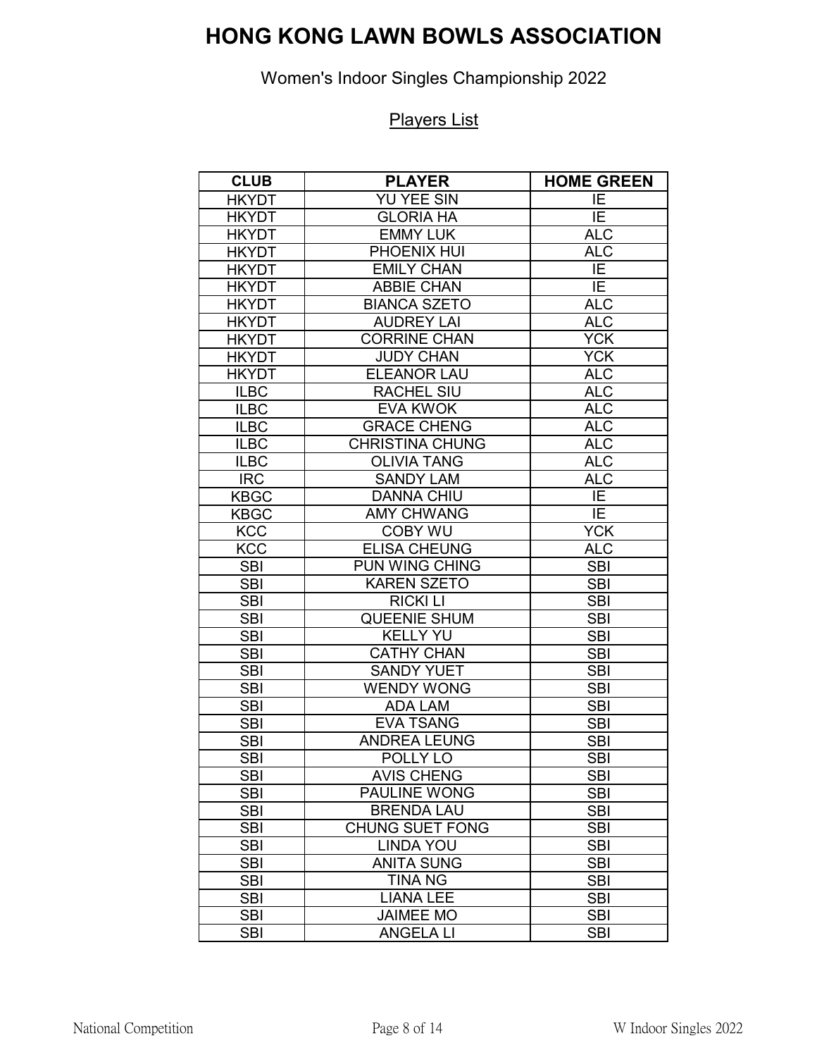### Women's Indoor Singles Championship 2022

| <b>CLUB</b>  | <b>PLAYER</b>          | <b>HOME GREEN</b> |
|--------------|------------------------|-------------------|
| <b>HKYDT</b> | <b>YU YEE SIN</b>      | ΙE                |
| <b>HKYDT</b> | <b>GLORIA HA</b>       | ĪE                |
| <b>HKYDT</b> | <b>EMMY LUK</b>        | <b>ALC</b>        |
| <b>HKYDT</b> | PHOENIX HUI            | <b>ALC</b>        |
| <b>HKYDT</b> | <b>EMILY CHAN</b>      | IE                |
| <b>HKYDT</b> | <b>ABBIE CHAN</b>      | IE                |
| <b>HKYDT</b> | <b>BIANCA SZETO</b>    | <b>ALC</b>        |
| <b>HKYDT</b> | <b>AUDREY LAI</b>      | <b>ALC</b>        |
| <b>HKYDT</b> | <b>CORRINE CHAN</b>    | <b>YCK</b>        |
| <b>HKYDT</b> | <b>JUDY CHAN</b>       | <b>YCK</b>        |
| <b>HKYDT</b> | <b>ELEANOR LAU</b>     | <b>ALC</b>        |
| <b>ILBC</b>  | <b>RACHEL SIU</b>      | <b>ALC</b>        |
| <b>ILBC</b>  | <b>EVA KWOK</b>        | <b>ALC</b>        |
| <b>ILBC</b>  | <b>GRACE CHENG</b>     | <b>ALC</b>        |
| <b>ILBC</b>  | <b>CHRISTINA CHUNG</b> | <b>ALC</b>        |
| <b>ILBC</b>  | <b>OLIVIA TANG</b>     | <b>ALC</b>        |
| <b>IRC</b>   | <b>SANDY LAM</b>       | <b>ALC</b>        |
| <b>KBGC</b>  | <b>DANNA CHIU</b>      | IE                |
| <b>KBGC</b>  | <b>AMY CHWANG</b>      | ĪE                |
| <b>KCC</b>   | <b>COBY WU</b>         | <b>YCK</b>        |
| <b>KCC</b>   | <b>ELISA CHEUNG</b>    | <b>ALC</b>        |
| <b>SBI</b>   | PUN WING CHING         | <b>SBI</b>        |
| <b>SBI</b>   | <b>KAREN SZETO</b>     | <b>SBI</b>        |
| <b>SBI</b>   | <b>RICKI LI</b>        | <b>SBI</b>        |
| <b>SBI</b>   | <b>QUEENIE SHUM</b>    | <b>SBI</b>        |
| <b>SBI</b>   | <b>KELLY YU</b>        | <b>SBI</b>        |
| <b>SBI</b>   | <b>CATHY CHAN</b>      | <b>SBI</b>        |
| <b>SBI</b>   | <b>SANDY YUET</b>      | <b>SBI</b>        |
| <b>SBI</b>   | <b>WENDY WONG</b>      | <b>SBI</b>        |
| <b>SBI</b>   | <b>ADA LAM</b>         | <b>SBI</b>        |
| <b>SBI</b>   | <b>EVA TSANG</b>       | <b>SBI</b>        |
| <b>SBI</b>   | <b>ANDREA LEUNG</b>    | <b>SBI</b>        |
| <b>SBI</b>   | POLLY LO               | <b>SBI</b>        |
| <b>SBI</b>   | <b>AVIS CHENG</b>      | <b>SBI</b>        |
| <b>SBI</b>   | <b>PAULINE WONG</b>    | <b>SBI</b>        |
| <b>SBI</b>   | <b>BRENDA LAU</b>      | <b>SBI</b>        |
| <b>SBI</b>   | <b>CHUNG SUET FONG</b> | <b>SBI</b>        |
| <b>SBI</b>   | <b>LINDA YOU</b>       | <b>SBI</b>        |
| <b>SBI</b>   | <b>ANITA SUNG</b>      | <b>SBI</b>        |
| <b>SBI</b>   | <b>TINA NG</b>         | <b>SBI</b>        |
| <b>SBI</b>   | <b>LIANA LEE</b>       | <b>SBI</b>        |
| <b>SBI</b>   | <b>JAIMEE MO</b>       | <b>SBI</b>        |
| <b>SBI</b>   | <b>ANGELA LI</b>       | <b>SBI</b>        |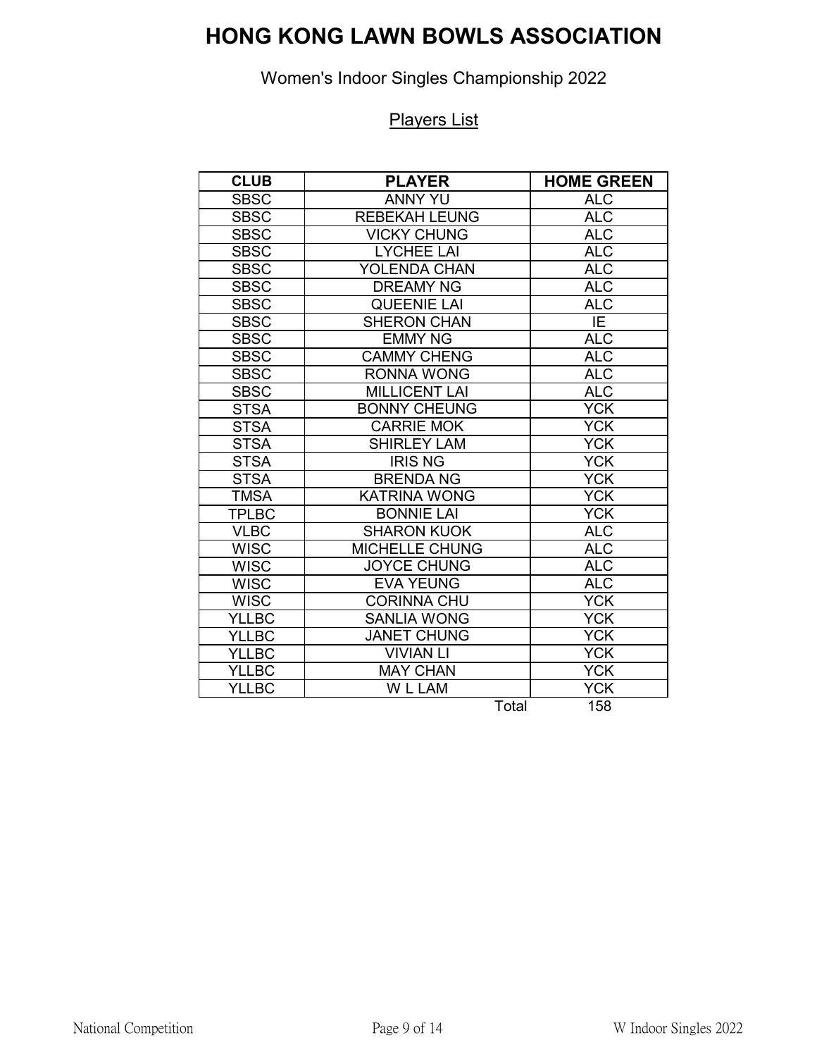Women's Indoor Singles Championship 2022

| <b>CLUB</b>  | <b>PLAYER</b>         | <b>HOME GREEN</b> |
|--------------|-----------------------|-------------------|
| <b>SBSC</b>  | <b>ANNY YU</b>        | <b>ALC</b>        |
| <b>SBSC</b>  | <b>REBEKAH LEUNG</b>  | <b>ALC</b>        |
| <b>SBSC</b>  | <b>VICKY CHUNG</b>    | <b>ALC</b>        |
| <b>SBSC</b>  | <b>LYCHEE LAI</b>     | <b>ALC</b>        |
| <b>SBSC</b>  | <b>YOLENDA CHAN</b>   | <b>ALC</b>        |
| <b>SBSC</b>  | <b>DREAMY NG</b>      | <b>ALC</b>        |
| <b>SBSC</b>  | QUEENIE LAI           | $AL\overline{C}$  |
| <b>SBSC</b>  | <b>SHERON CHAN</b>    | $\overline{IE}$   |
| <b>SBSC</b>  | <b>EMMY NG</b>        | <b>ALC</b>        |
| <b>SBSC</b>  | <b>CAMMY CHENG</b>    | <b>ALC</b>        |
| <b>SBSC</b>  | <b>RONNA WONG</b>     | <b>ALC</b>        |
| <b>SBSC</b>  | <b>MILLICENT LAI</b>  | <b>ALC</b>        |
| <b>STSA</b>  | <b>BONNY CHEUNG</b>   | <b>YCK</b>        |
| <b>STSA</b>  | <b>CARRIE MOK</b>     | <b>YCK</b>        |
| <b>STSA</b>  | <b>SHIRLEY LAM</b>    | <b>YCK</b>        |
| <b>STSA</b>  | <b>IRIS NG</b>        | <b>YCK</b>        |
| <b>STSA</b>  | <b>BRENDA NG</b>      | <b>YCK</b>        |
| <b>TMSA</b>  | <b>KATRINA WONG</b>   | <b>YCK</b>        |
| <b>TPLBC</b> | <b>BONNIE LAI</b>     | <b>YCK</b>        |
| <b>VLBC</b>  | <b>SHARON KUOK</b>    | <b>ALC</b>        |
| <b>WISC</b>  | <b>MICHELLE CHUNG</b> | <b>ALC</b>        |
| <b>WISC</b>  | <b>JOYCE CHUNG</b>    | <b>ALC</b>        |
| <b>WISC</b>  | <b>EVA YEUNG</b>      | <b>ALC</b>        |
| <b>WISC</b>  | <b>CORINNA CHU</b>    | <b>YCK</b>        |
| <b>YLLBC</b> | <b>SANLIA WONG</b>    | <b>YCK</b>        |
| <b>YLLBC</b> | <b>JANET CHUNG</b>    | <b>YCK</b>        |
| <b>YLLBC</b> | <b>VIVIAN LI</b>      | <b>YCK</b>        |
| <b>YLLBC</b> | <b>MAY CHAN</b>       | <b>YCK</b>        |
| <b>YLLBC</b> | W L LAM               | <b>YCK</b>        |
|              | Total                 | 158               |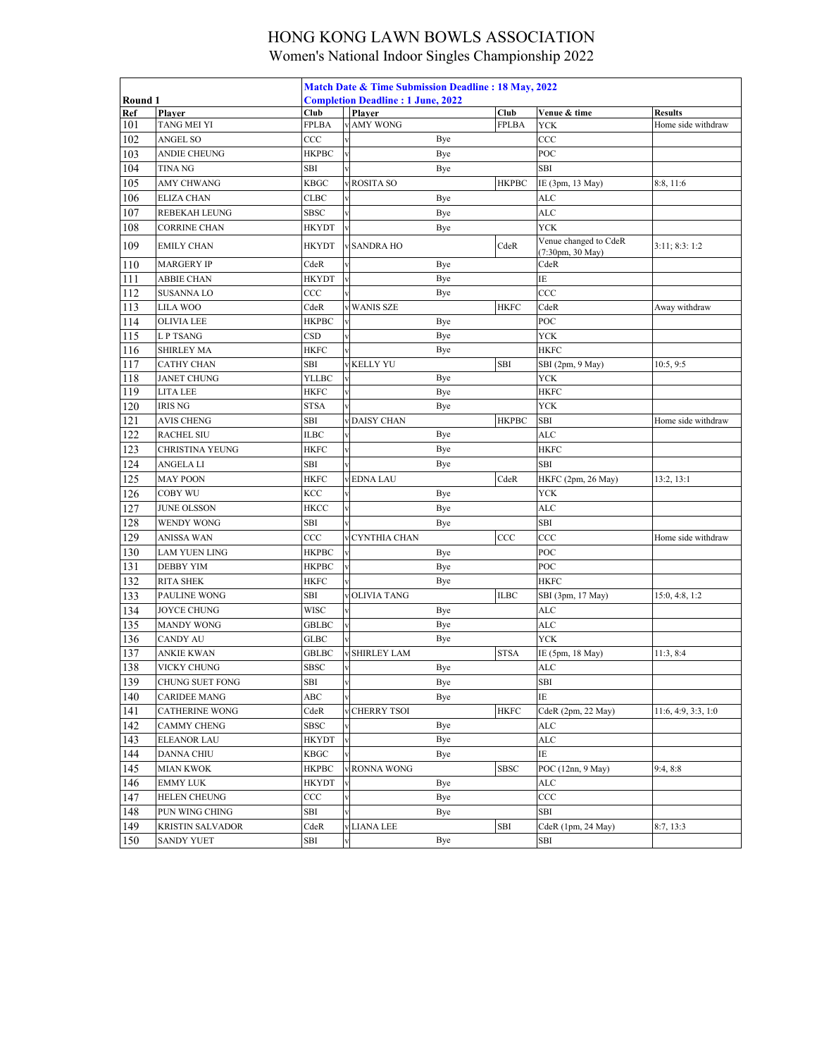| Round 1 |                         | Match Date & Time Submission Deadline: 18 May, 2022<br><b>Completion Deadline: 1 June, 2022</b> |                         |                      |     |              |                                           |                     |  |
|---------|-------------------------|-------------------------------------------------------------------------------------------------|-------------------------|----------------------|-----|--------------|-------------------------------------------|---------------------|--|
| Ref     | Plaver                  | Club                                                                                            |                         | Player               |     | Club         | Venue & time                              | <b>Results</b>      |  |
| 101     | TANG MEI YI             | FPLBA                                                                                           |                         | <b>AMY WONG</b>      |     | <b>FPLBA</b> | <b>YCK</b>                                | Home side withdraw  |  |
| 102     | ANGEL SO                | CCC                                                                                             |                         |                      | Bye |              | CCC                                       |                     |  |
| 103     | ANDIE CHEUNG            | <b>HKPBC</b>                                                                                    |                         |                      | Bye |              | POC                                       |                     |  |
| 104     | <b>TINANG</b>           | SBI                                                                                             |                         |                      | Bye |              | SBI                                       |                     |  |
| 105     | AMY CHWANG              | <b>KBGC</b>                                                                                     |                         | v ROSITA SO          |     | <b>HKPBC</b> | IE (3pm, 13 May)                          | 8:8, 11:6           |  |
| 106     | <b>ELIZA CHAN</b>       | <b>CLBC</b>                                                                                     |                         |                      | Bye |              | ALC                                       |                     |  |
| 107     | REBEKAH LEUNG           | SBSC                                                                                            |                         |                      | Bye |              | <b>ALC</b>                                |                     |  |
| 108     | CORRINE CHAN            | HKYDT                                                                                           | $\mathbf{V}$            |                      | Bye |              | <b>YCK</b>                                |                     |  |
| 109     | <b>EMILY CHAN</b>       | HKYDT                                                                                           |                         | v SANDRA HO          |     | CdeR         | Venue changed to CdeR<br>(7:30pm, 30 May) | 3:11; 8:3:1:2       |  |
| 110     | <b>MARGERY IP</b>       | CdeR                                                                                            |                         |                      | Bye |              | CdeR                                      |                     |  |
| 111     | ABBIE CHAN              | HKYDT                                                                                           | $\mathbf{v}$            |                      | Bye |              | IΕ                                        |                     |  |
| 112     | <b>SUSANNA LO</b>       | CCC                                                                                             |                         |                      | Bye |              | CCC                                       |                     |  |
| 113     | LILA WOO                | CdeR                                                                                            |                         | v WANIS SZE          |     | <b>HKFC</b>  | CdeR                                      | Away withdraw       |  |
| 114     | <b>OLIVIA LEE</b>       | <b>HKPBC</b>                                                                                    |                         |                      | Bye |              | POC                                       |                     |  |
| 115     | L P TSANG               | CSD                                                                                             |                         |                      | Bye |              | <b>YCK</b>                                |                     |  |
| 116     | SHIRLEY MA              | <b>HKFC</b>                                                                                     |                         |                      | Bye |              | <b>HKFC</b>                               |                     |  |
| 117     | CATHY CHAN              | SBI                                                                                             |                         | v KELLY YU           |     | SBI          | SBI (2pm, 9 May)                          | 10:5, 9:5           |  |
| 118     | <b>JANET CHUNG</b>      | YLLBC                                                                                           |                         |                      | Bye |              | YCK                                       |                     |  |
| 119     | LITA LEE                | HKFC                                                                                            | $\overline{\mathbf{v}}$ |                      | Bye |              | HKFC                                      |                     |  |
| 120     | IRIS NG                 | <b>STSA</b>                                                                                     |                         |                      | Bye |              | <b>YCK</b>                                |                     |  |
| 121     | <b>AVIS CHENG</b>       | SBI                                                                                             |                         | <b>DAISY CHAN</b>    |     | <b>HKPBC</b> | SBI                                       | Home side withdraw  |  |
| 122     | <b>RACHEL SIU</b>       | ILBC                                                                                            |                         |                      | Bye |              | ALC                                       |                     |  |
| 123     | CHRISTINA YEUNG         | <b>HKFC</b>                                                                                     |                         |                      | Bye |              | <b>HKFC</b>                               |                     |  |
| 124     | ANGELA LI               | SBI                                                                                             |                         |                      | Bye |              | <b>SBI</b>                                |                     |  |
| 125     | <b>MAY POON</b>         | <b>HKFC</b>                                                                                     |                         | v EDNA LAU           |     | CdeR         | HKFC (2pm, 26 May)                        | 13:2, 13:1          |  |
| 126     | COBY WU                 | KCC                                                                                             |                         |                      | Bye |              | YCK                                       |                     |  |
| 127     | <b>JUNE OLSSON</b>      | HKCC                                                                                            | $\overline{\mathbf{v}}$ |                      | Bye |              | <b>ALC</b>                                |                     |  |
| 128     | WENDY WONG              | SBI                                                                                             |                         |                      | Bye |              | SBI                                       |                     |  |
| 129     | ANISSA WAN              | CCC                                                                                             |                         | v CYNTHIA CHAN       |     | CCC          | CCC                                       | Home side withdraw  |  |
| 130     | LAM YUEN LING           | <b>HKPBC</b>                                                                                    |                         |                      | Bye |              | POC                                       |                     |  |
| 131     | <b>DEBBY YIM</b>        | HKPBC                                                                                           | $\overline{\mathbf{v}}$ |                      | Bye |              | POC                                       |                     |  |
| 132     | <b>RITA SHEK</b>        | <b>HKFC</b>                                                                                     |                         |                      | Bye |              | <b>HKFC</b>                               |                     |  |
| 133     | PAULINE WONG            | SBI                                                                                             |                         | <b>v OLIVIA TANG</b> |     | <b>ILBC</b>  | SBI (3pm, 17 May)                         | 15:0, 4:8, 1:2      |  |
| 134     | JOYCE CHUNG             | WISC                                                                                            |                         |                      | Bye |              | ALC                                       |                     |  |
| 135     | <b>MANDY WONG</b>       | GBLBC                                                                                           | $\overline{\mathbf{v}}$ |                      | Bye |              | <b>ALC</b>                                |                     |  |
| 136     | <b>CANDY AU</b>         | GLBC                                                                                            |                         |                      | Bye |              | <b>YCK</b>                                |                     |  |
| 137     | ANKIE KWAN              | GBLBC                                                                                           |                         | SHIRLEY LAM          |     | <b>STSA</b>  | IE (5pm, 18 May)                          | 11:3, 8:4           |  |
| 138     | VICKY CHUNG             | <b>SBSC</b>                                                                                     | $\mathbf{V}$            |                      | Bye |              | <b>ALC</b>                                |                     |  |
| 139     | CHUNG SUET FONG         | SBI                                                                                             | v                       |                      | Bye |              | SBI                                       |                     |  |
| 140     | <b>CARIDEE MANG</b>     | ABC                                                                                             |                         |                      | Bye |              | ΙE                                        |                     |  |
| 141     | <b>CATHERINE WONG</b>   | CdeR                                                                                            |                         | v CHERRY TSOI        |     | <b>HKFC</b>  | CdeR (2pm, 22 May)                        | 11:6, 4:9, 3:3, 1:0 |  |
| 142     | <b>CAMMY CHENG</b>      | <b>SBSC</b>                                                                                     |                         |                      | Bye |              | ALC                                       |                     |  |
| 143     | <b>ELEANOR LAU</b>      | HKYDT                                                                                           | $\mathbf v$             |                      | Bye |              | ALC                                       |                     |  |
| 144     | DANNA CHIU              | KBGC                                                                                            |                         |                      | Bye |              | IΕ                                        |                     |  |
| 145     | <b>MIAN KWOK</b>        | <b>HKPBC</b>                                                                                    |                         | v RONNA WONG         |     | <b>SBSC</b>  | POC $(12nn, 9$ May)                       | 9:4, 8:8            |  |
| 146     | <b>EMMY LUK</b>         | HKYDT                                                                                           |                         |                      | Bye |              | ALC                                       |                     |  |
| 147     | HELEN CHEUNG            | $_{\rm CCC}$                                                                                    |                         |                      | Bye |              | CCC                                       |                     |  |
| 148     | PUN WING CHING          | SBI                                                                                             |                         |                      | Bye |              | SBI                                       |                     |  |
| 149     | <b>KRISTIN SALVADOR</b> | CdeR                                                                                            |                         | v LIANA LEE          |     | SBI          | CdeR (1pm, 24 May)                        | 8:7, 13:3           |  |
| 150     | <b>SANDY YUET</b>       | SBI                                                                                             | $\overline{\mathbf{v}}$ |                      | Bye |              | SBI                                       |                     |  |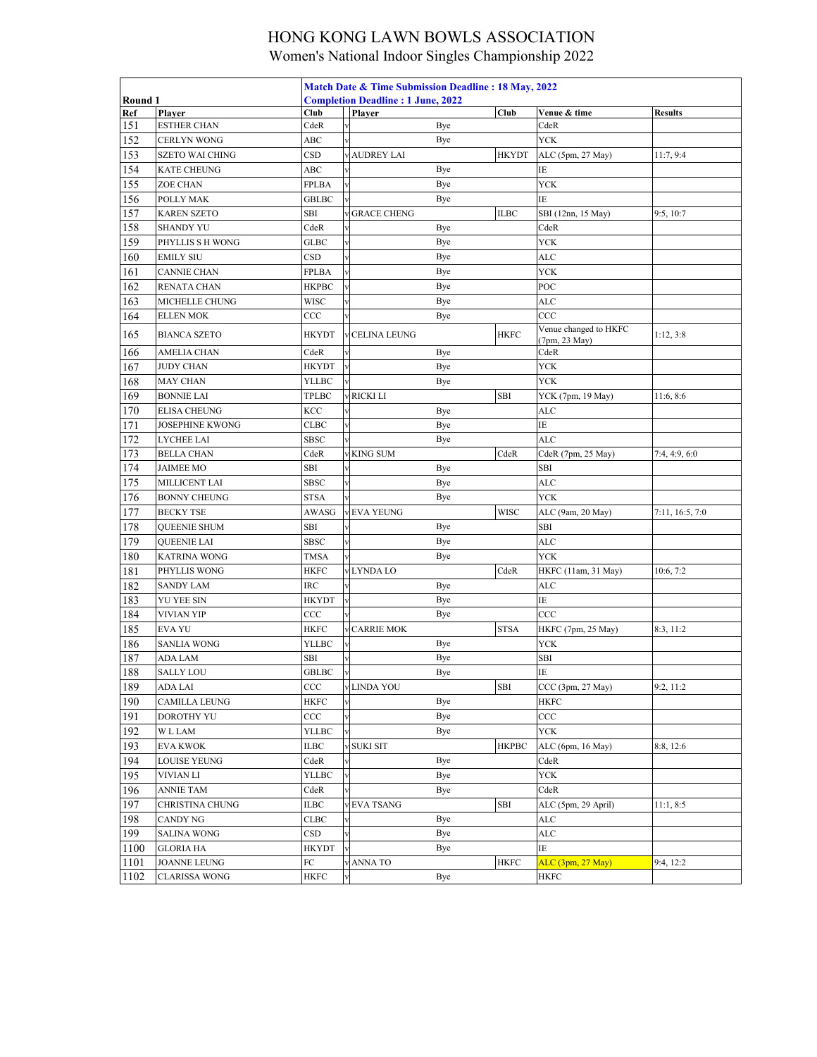|         | Match Date & Time Submission Deadline: 18 May, 2022<br><b>Completion Deadline: 1 June, 2022</b> |                        |                         |                     |     |              |                                        |                 |
|---------|-------------------------------------------------------------------------------------------------|------------------------|-------------------------|---------------------|-----|--------------|----------------------------------------|-----------------|
| Round 1 |                                                                                                 |                        |                         |                     |     |              |                                        |                 |
| Ref     | Player                                                                                          | Club                   |                         | Player              |     | Club         | Venue & time                           | <b>Results</b>  |
| 151     | <b>ESTHER CHAN</b>                                                                              | CdeR                   |                         |                     | Bye |              | CdeR                                   |                 |
| 152     | CERLYN WONG                                                                                     | ABC                    |                         |                     | Bye |              | <b>YCK</b>                             |                 |
| 153     | <b>SZETO WAI CHING</b>                                                                          | CSD                    |                         | <b>AUDREY LAI</b>   |     | <b>HKYDT</b> | ALC (5pm, 27 May)                      | 11:7, 9:4       |
| 154     | KATE CHEUNG                                                                                     | ABC                    |                         |                     | Bye |              | ΙE                                     |                 |
| 155     | ZOE CHAN                                                                                        | FPLBA                  |                         |                     | Bye |              | <b>YCK</b>                             |                 |
| 156     | POLLY MAK                                                                                       | GBLBC                  |                         |                     | Bye |              | IΕ                                     |                 |
| 157     | <b>KAREN SZETO</b>                                                                              | SBI                    |                         | <b>GRACE CHENG</b>  |     | <b>ILBC</b>  | SBI (12nn, 15 May)                     | 9:5, 10:7       |
| 158     | <b>SHANDY YU</b>                                                                                | CdeR                   |                         |                     | Bye |              | CdeR                                   |                 |
| 159     | PHYLLIS S H WONG                                                                                | GLBC                   |                         |                     | Bye |              | <b>YCK</b>                             |                 |
| 160     | <b>EMILY SIU</b>                                                                                | $_{\tiny{\text{CSD}}}$ |                         |                     | Bye |              | ALC                                    |                 |
| 161     | <b>CANNIE CHAN</b>                                                                              | FPLBA                  |                         |                     | Bye |              | <b>YCK</b>                             |                 |
| 162     | RENATA CHAN                                                                                     | НКРВС                  |                         |                     | Bye |              | POC                                    |                 |
| 163     | MICHELLE CHUNG                                                                                  | WISC                   |                         |                     | Bye |              | ALC                                    |                 |
| 164     | ELLEN MOK                                                                                       | CCC                    |                         |                     | Bye |              | CCC                                    |                 |
| 165     | <b>BIANCA SZETO</b>                                                                             | HKYDT                  |                         | <b>CELINA LEUNG</b> |     | <b>HKFC</b>  | Venue changed to HKFC<br>(7pm, 23 May) | 1:12, 3:8       |
| 166     | <b>AMELIA CHAN</b>                                                                              | CdeR                   |                         |                     | Bye |              | CdeR                                   |                 |
| 167     | <b>JUDY CHAN</b>                                                                                | HKYDT                  |                         |                     | Bye |              | <b>YCK</b>                             |                 |
| 168     | MAY CHAN                                                                                        | <b>YLLBC</b>           |                         |                     | Bye |              | <b>YCK</b>                             |                 |
| 169     | <b>BONNIE LAI</b>                                                                               | TPLBC                  |                         | v RICKI LI          |     | <b>SBI</b>   | YCK (7pm, 19 May)                      | 11:6, 8:6       |
| 170     | <b>ELISA CHEUNG</b>                                                                             | KCC                    |                         |                     | Bye |              | ALC                                    |                 |
| 171     | <b>JOSEPHINE KWONG</b>                                                                          | <b>CLBC</b>            |                         |                     | Bye |              | IΕ                                     |                 |
| 172     | LYCHEE LAI                                                                                      | <b>SBSC</b>            |                         |                     | Bye |              | <b>ALC</b>                             |                 |
| 173     | <b>BELLA CHAN</b>                                                                               | CdeR                   |                         | <b>KING SUM</b>     |     | CdeR         | CdeR (7pm, 25 May)                     | 7:4, 4:9, 6:0   |
| 174     | JAIMEE MO                                                                                       | SBI                    |                         |                     | Bye |              | SBI                                    |                 |
| 175     | MILLICENT LAI                                                                                   | SBSC                   |                         |                     | Bye |              | $\rm{ALC}$                             |                 |
| 176     | <b>BONNY CHEUNG</b>                                                                             | STSA                   |                         |                     | Bye |              | <b>YCK</b>                             |                 |
| 177     | <b>BECKY TSE</b>                                                                                | AWASG                  |                         | v EVA YEUNG         |     | <b>WISC</b>  | ALC (9am, 20 May)                      | 7:11, 16:5, 7:0 |
| 178     | <b>QUEENIE SHUM</b>                                                                             | <b>SBI</b>             |                         |                     | Bye |              | SBI                                    |                 |
| 179     | QUEENIE LAI                                                                                     | SBSC                   |                         |                     | Bye |              | ALC                                    |                 |
| 180     | KATRINA WONG                                                                                    | <b>TMSA</b>            |                         |                     | Bye |              | <b>YCK</b>                             |                 |
| 181     | PHYLLIS WONG                                                                                    | <b>HKFC</b>            |                         | v LYNDA LO          |     | CdeR         | HKFC (11am, 31 May)                    | 10:6, 7:2       |
| 182     | <b>SANDY LAM</b>                                                                                | <b>IRC</b>             |                         |                     | Bye |              | <b>ALC</b>                             |                 |
| 183     | YU YEE SIN                                                                                      | HKYDT                  | $\overline{\mathbf{v}}$ |                     | Bye |              | ΙE                                     |                 |
| 184     | VIVIAN YIP                                                                                      | $_{\rm CCC}$           |                         |                     | Bye |              | CCC                                    |                 |
| 185     | <b>EVA YU</b>                                                                                   | <b>HKFC</b>            |                         | <b>CARRIE MOK</b>   |     | <b>STSA</b>  | HKFC (7pm, 25 May)                     | 8:3, 11:2       |
| 186     | <b>SANLIA WONG</b>                                                                              | YLLBC                  |                         |                     | Bye |              | <b>YCK</b>                             |                 |
| 187     | ADA LAM                                                                                         | <b>SBI</b>             |                         |                     | Bye |              | SBI                                    |                 |
| 188     | <b>SALLY LOU</b>                                                                                | GBLBC                  | Tv                      |                     | Bye |              | $\overline{1E}$                        |                 |
| 189     | ADA LAI                                                                                         | CCC                    |                         | v LINDA YOU         |     | <b>SBI</b>   | CCC (3pm, 27 May)                      | 9:2, 11:2       |
| 190     | <b>CAMILLA LEUNG</b>                                                                            | <b>HKFC</b>            |                         |                     | Bye |              | <b>HKFC</b>                            |                 |
| 191     | DOROTHY YU                                                                                      | $_{\rm CCC}$           |                         |                     | Bye |              | CCC                                    |                 |
| 192     | <b>WLLAM</b>                                                                                    | YLLBC                  |                         |                     | Bye |              | <b>YCK</b>                             |                 |
| 193     | EVA KWOK                                                                                        | <b>ILBC</b>            |                         | v SUKI SIT          |     | <b>HKPBC</b> | ALC (6pm, 16 May)                      | 8:8, 12:6       |
| 194     | LOUISE YEUNG                                                                                    | CdeR                   |                         |                     | Bye |              | CdeR                                   |                 |
| 195     | VIVIAN LI                                                                                       | YLLBC                  | V                       |                     | Bye |              | <b>YCK</b>                             |                 |
| 196     | <b>ANNIE TAM</b>                                                                                | CdeR                   |                         |                     | Bye |              | CdeR                                   |                 |
| 197     | CHRISTINA CHUNG                                                                                 | ILBC                   |                         | v EVA TSANG         |     | <b>SBI</b>   | ALC (5pm, 29 April)                    | 11:1, 8:5       |
| 198     | CANDY NG                                                                                        | CLBC                   |                         |                     | Bye |              | ALC                                    |                 |
| 199     | <b>SALINA WONG</b>                                                                              | $_{\rm CSD}$           |                         |                     | Bye |              | ALC                                    |                 |
| 1100    | GLORIA HA                                                                                       | <b>HKYDT</b>           |                         |                     | Bye |              | ΙE                                     |                 |
| 1101    | JOANNE LEUNG                                                                                    | FC                     |                         | v ANNA TO           |     | <b>HKFC</b>  | ALC (3pm, 27 May)                      | 9:4, 12:2       |
| 1102    | <b>CLARISSA WONG</b>                                                                            | HKFC                   |                         |                     | Bye |              | HKFC                                   |                 |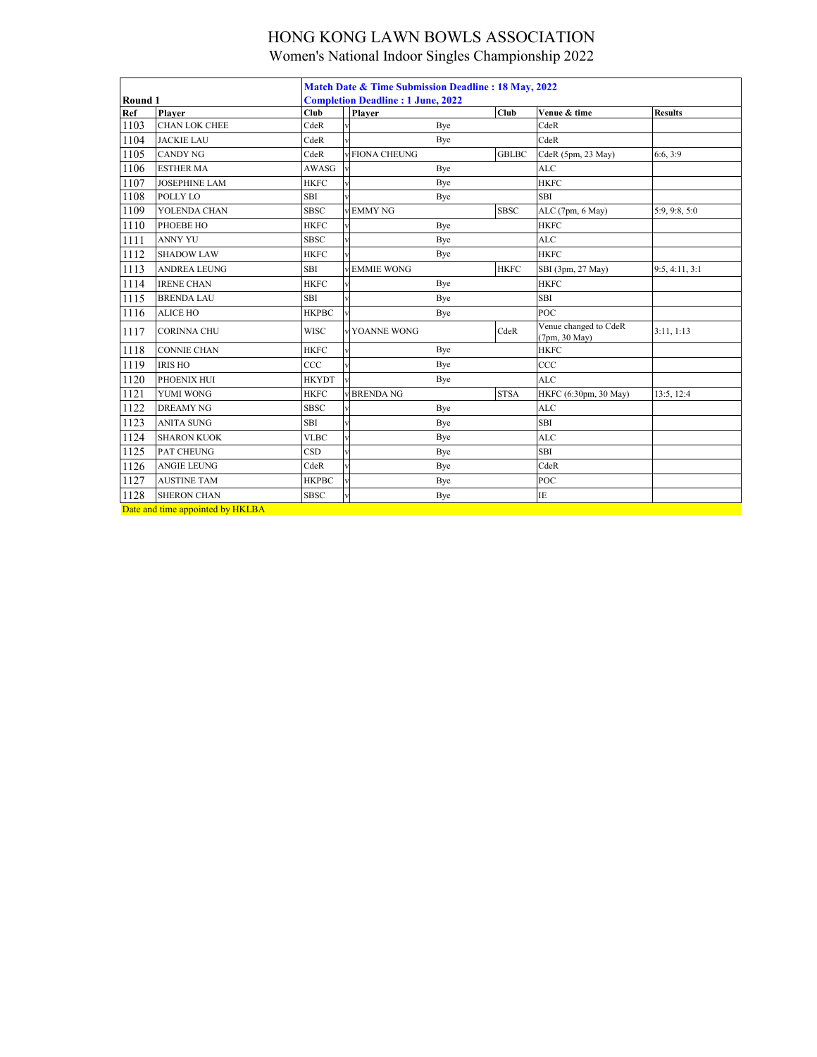|                                  |                      | Match Date & Time Submission Deadline: 18 May, 2022 |  |                      |              |                                        |                |  |
|----------------------------------|----------------------|-----------------------------------------------------|--|----------------------|--------------|----------------------------------------|----------------|--|
| Round 1                          |                      | <b>Completion Deadline: 1 June, 2022</b>            |  |                      |              |                                        |                |  |
| Ref                              | Plaver               | Club                                                |  | <b>Player</b>        | Club         | Venue & time                           | <b>Results</b> |  |
| 1103                             | <b>CHAN LOK CHEE</b> | CdeR                                                |  | Bye                  |              | CdeR                                   |                |  |
| 1104                             | <b>JACKIE LAU</b>    | CdeR                                                |  | Bye                  |              | CdeR                                   |                |  |
| 1105                             | <b>CANDY NG</b>      | CdeR                                                |  | <b>FIONA CHEUNG</b>  | <b>GBLBC</b> | CdeR (5pm, 23 May)                     | 6:6, 3:9       |  |
| 1106                             | <b>ESTHER MA</b>     | <b>AWASG</b>                                        |  | Bye                  |              | <b>ALC</b>                             |                |  |
| 1107                             | <b>JOSEPHINE LAM</b> | <b>HKFC</b>                                         |  | Bye                  |              | <b>HKFC</b>                            |                |  |
| 1108                             | POLLY LO             | <b>SBI</b>                                          |  | Bye                  |              | <b>SBI</b>                             |                |  |
| 1109                             | YOLENDA CHAN         | <b>SBSC</b>                                         |  | <b>EMMY NG</b>       | <b>SBSC</b>  | ALC (7pm, 6 May)                       | 5:9, 9:8, 5:0  |  |
| 1110                             | PHOEBE HO            | <b>HKFC</b>                                         |  | Bye                  |              | <b>HKFC</b>                            |                |  |
| 1111                             | <b>ANNY YU</b>       | <b>SBSC</b>                                         |  | Bye                  |              | <b>ALC</b>                             |                |  |
| 1112                             | <b>SHADOW LAW</b>    | <b>HKFC</b>                                         |  | Bye                  |              | <b>HKFC</b>                            |                |  |
| 1113                             | ANDREA LEUNG         | <b>SBI</b>                                          |  | <b>EMMIE WONG</b>    | <b>HKFC</b>  | SBI (3pm, 27 May)                      | 9:5, 4:11, 3:1 |  |
| 1114                             | <b>IRENE CHAN</b>    | <b>HKFC</b>                                         |  | Bye                  |              | <b>HKFC</b>                            |                |  |
| 1115                             | <b>BRENDA LAU</b>    | <b>SBI</b>                                          |  | Bye                  |              | <b>SBI</b>                             |                |  |
| 1116                             | <b>ALICE HO</b>      | <b>HKPBC</b>                                        |  | Bye                  |              | POC                                    |                |  |
| 1117                             | <b>CORINNA CHU</b>   | <b>WISC</b>                                         |  | <b>v YOANNE WONG</b> | CdeR         | Venue changed to CdeR<br>(7pm, 30 May) | 3:11, 1:13     |  |
| 1118                             | <b>CONNIE CHAN</b>   | <b>HKFC</b>                                         |  | Bye                  |              | <b>HKFC</b>                            |                |  |
| 1119                             | <b>IRIS HO</b>       | CCC                                                 |  | Bye                  |              | CCC                                    |                |  |
| 1120                             | PHOENIX HUI          | <b>HKYDT</b>                                        |  | Bye                  |              | <b>ALC</b>                             |                |  |
| 1121                             | YUMI WONG            | <b>HKFC</b>                                         |  | <b>BRENDA NG</b>     | <b>STSA</b>  | HKFC (6:30pm, 30 May)                  | 13:5, 12:4     |  |
| 1122                             | <b>DREAMY NG</b>     | <b>SBSC</b>                                         |  | Bye                  |              | <b>ALC</b>                             |                |  |
| 1123                             | <b>ANITA SUNG</b>    | SBI                                                 |  | Bye                  |              | SBI                                    |                |  |
| 1124                             | <b>SHARON KUOK</b>   | <b>VLBC</b>                                         |  | Bye                  |              | <b>ALC</b>                             |                |  |
| 1125                             | PAT CHEUNG           | <b>CSD</b>                                          |  | Bye                  |              | <b>SBI</b>                             |                |  |
| 1126                             | <b>ANGIE LEUNG</b>   | CdeR                                                |  | Bye                  |              | CdeR                                   |                |  |
| 1127                             | <b>AUSTINE TAM</b>   | <b>HKPBC</b>                                        |  | Bye                  |              | POC                                    |                |  |
| 1128                             | <b>SHERON CHAN</b>   | <b>SBSC</b>                                         |  | Bye                  |              | IE                                     |                |  |
| Date and time appointed by HKLBA |                      |                                                     |  |                      |              |                                        |                |  |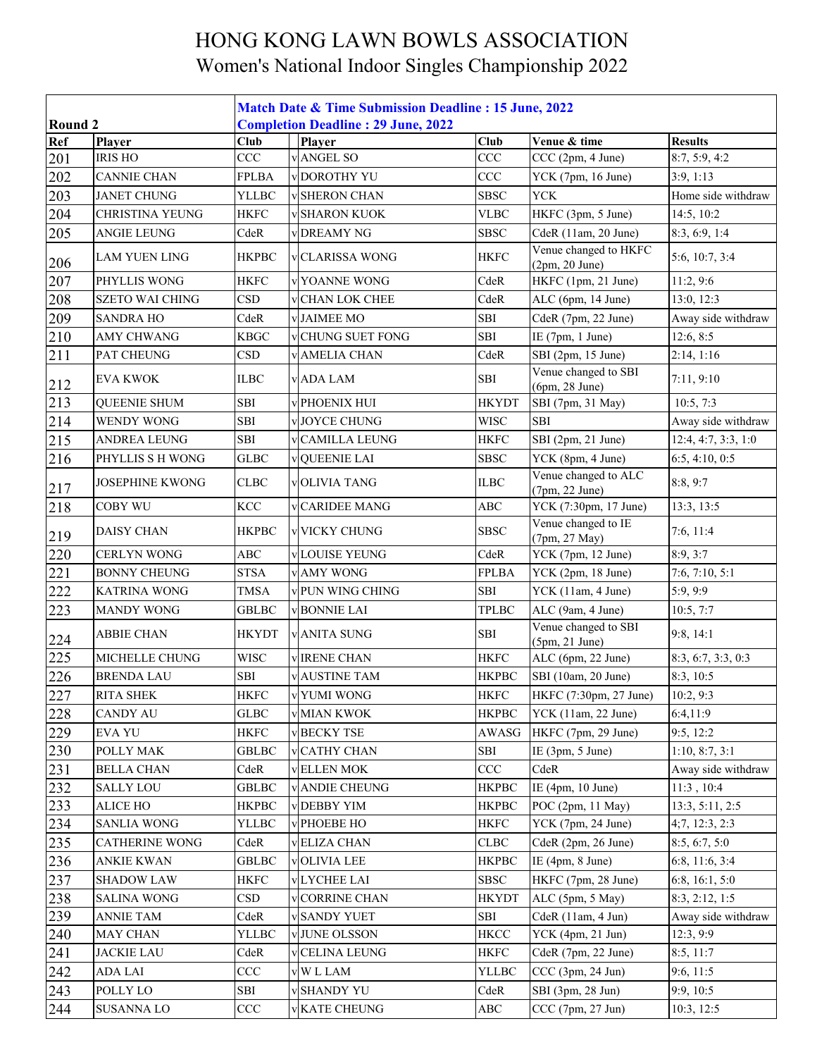|         |                        | <b>Match Date &amp; Time Submission Deadline : 15 June, 2022</b> |                        |              |                                           |                     |  |  |  |
|---------|------------------------|------------------------------------------------------------------|------------------------|--------------|-------------------------------------------|---------------------|--|--|--|
| Round 2 |                        | <b>Completion Deadline: 29 June, 2022</b>                        |                        |              |                                           |                     |  |  |  |
| Ref     | Player                 | <b>Club</b>                                                      | Player                 | <b>Club</b>  | Venue & time                              | <b>Results</b>      |  |  |  |
| 201     | <b>IRIS HO</b>         | CCC                                                              | ANGEL SO               | CCC          | CCC (2pm, 4 June)                         | 8:7, 5:9, 4:2       |  |  |  |
| 202     | <b>CANNIE CHAN</b>     | <b>FPLBA</b>                                                     | <b>DOROTHY YU</b>      | CCC          | YCK (7pm, 16 June)                        | 3:9, 1:13           |  |  |  |
| 203     | <b>JANET CHUNG</b>     | <b>YLLBC</b>                                                     | <b>v</b> SHERON CHAN   | <b>SBSC</b>  | <b>YCK</b>                                | Home side withdraw  |  |  |  |
| 204     | <b>CHRISTINA YEUNG</b> | <b>HKFC</b>                                                      | <b>SHARON KUOK</b>     | <b>VLBC</b>  | HKFC (3pm, 5 June)                        | 14:5, 10:2          |  |  |  |
| 205     | ANGIE LEUNG            | CdeR                                                             | <b>DREAMY NG</b>       | <b>SBSC</b>  | CdeR (11am, 20 June)                      | 8:3, 6:9, 1:4       |  |  |  |
| 206     | <b>LAM YUEN LING</b>   | <b>HKPBC</b>                                                     | <b>CLARISSA WONG</b>   | <b>HKFC</b>  | Venue changed to HKFC<br>$(2pm, 20$ June) | 5:6, 10:7, 3:4      |  |  |  |
| 207     | PHYLLIS WONG           | <b>HKFC</b>                                                      | YOANNE WONG            | CdeR         | HKFC (1pm, 21 June)                       | 11:2,9:6            |  |  |  |
| 208     | <b>SZETO WAI CHING</b> | <b>CSD</b>                                                       | <b>CHAN LOK CHEE</b>   | CdeR         | ALC (6pm, 14 June)                        | 13:0, 12:3          |  |  |  |
| 209     | <b>SANDRA HO</b>       | CdeR                                                             | <b>v</b> JAIMEE MO     | SBI          | CdeR (7pm, 22 June)                       | Away side withdraw  |  |  |  |
| 210     | AMY CHWANG             | <b>KBGC</b>                                                      | <b>CHUNG SUET FONG</b> | SBI          | IE (7pm, 1 June)                          | 12:6, 8:5           |  |  |  |
| 211     | PAT CHEUNG             | <b>CSD</b>                                                       | <b>AMELIA CHAN</b>     | CdeR         | SBI (2pm, 15 June)                        | 2:14, 1:16          |  |  |  |
| 212     | <b>EVA KWOK</b>        | <b>ILBC</b>                                                      | <b>v</b> ADA LAM       | SBI          | Venue changed to SBI<br>(6pm, 28 June)    | 7:11, 9:10          |  |  |  |
| 213     | <b>QUEENIE SHUM</b>    | SBI                                                              | <b>v PHOENIX HUI</b>   | <b>HKYDT</b> | SBI (7pm, 31 May)                         | 10:5, 7:3           |  |  |  |
| 214     | <b>WENDY WONG</b>      | SBI                                                              | <b>JOYCE CHUNG</b>     | <b>WISC</b>  | <b>SBI</b>                                | Away side withdraw  |  |  |  |
| 215     | ANDREA LEUNG           | ${\bf SBI}$                                                      | <b>CAMILLA LEUNG</b>   | <b>HKFC</b>  | SBI (2pm, 21 June)                        | 12:4, 4:7, 3:3, 1:0 |  |  |  |
| 216     | PHYLLIS S H WONG       | ${\rm GLBC}$                                                     | <b>QUEENIE LAI</b>     | <b>SBSC</b>  | YCK (8pm, 4 June)                         | 6:5, 4:10, 0:5      |  |  |  |
| 217     | JOSEPHINE KWONG        | <b>CLBC</b>                                                      | <b>VOLIVIA TANG</b>    | <b>ILBC</b>  | Venue changed to ALC<br>(7pm, 22 June)    | 8:8, 9:7            |  |  |  |
| 218     | COBY WU                | <b>KCC</b>                                                       | <b>CARIDEE MANG</b>    | ABC          | YCK (7:30pm, 17 June)                     | 13:3, 13:5          |  |  |  |
| 219     | <b>DAISY CHAN</b>      | <b>HKPBC</b>                                                     | <b>VICKY CHUNG</b>     | <b>SBSC</b>  | Venue changed to IE<br>(7pm, 27 May)      | 7:6, 11:4           |  |  |  |
| 220     | <b>CERLYN WONG</b>     | ABC                                                              | <b>v</b> LOUISE YEUNG  | CdeR         | YCK (7pm, 12 June)                        | 8:9, 3:7            |  |  |  |
| 221     | <b>BONNY CHEUNG</b>    | <b>STSA</b>                                                      | v AMY WONG             | <b>FPLBA</b> | YCK (2pm, 18 June)                        | 7:6, 7:10, 5:1      |  |  |  |
| 222     | <b>KATRINA WONG</b>    | <b>TMSA</b>                                                      | PUN WING CHING         | SBI          | YCK (11am, 4 June)                        | 5:9, 9:9            |  |  |  |
| 223     | <b>MANDY WONG</b>      | <b>GBLBC</b>                                                     | <b>BONNIE LAI</b>      | <b>TPLBC</b> | ALC (9am, 4 June)                         | 10:5, 7:7           |  |  |  |
| 224     | <b>ABBIE CHAN</b>      | <b>HKYDT</b>                                                     | <b>v ANITA SUNG</b>    | SBI          | Venue changed to SBI<br>$(5pm, 21$ June)  | 9:8, 14:1           |  |  |  |
| 225     | MICHELLE CHUNG         | <b>WISC</b>                                                      | <b>IRENE CHAN</b>      | <b>HKFC</b>  | ALC (6pm, 22 June)                        | 8:3, 6:7, 3:3, 0:3  |  |  |  |
| 226     | <b>BRENDA LAU</b>      | <b>SBI</b>                                                       | <b>AUSTINE TAM</b>     | <b>HKPBC</b> | SBI (10am, 20 June)                       | 8:3, 10:5           |  |  |  |
| 227     | <b>RITA SHEK</b>       | <b>HKFC</b>                                                      | v YUMI WONG            | <b>HKFC</b>  | HKFC (7:30pm, 27 June)                    | 10:2, 9:3           |  |  |  |
| 228     | <b>CANDY AU</b>        | ${\rm GLBC}$                                                     | <b>WMIAN KWOK</b>      | <b>HKPBC</b> | YCK (11am, 22 June)                       | 6:4,11:9            |  |  |  |
| 229     | <b>EVA YU</b>          | <b>HKFC</b>                                                      | <b>BECKY TSE</b>       | AWASG        | HKFC (7pm, 29 June)                       | 9:5, 12:2           |  |  |  |
| 230     | POLLY MAK              | <b>GBLBC</b>                                                     | <b>CATHY CHAN</b>      | SBI          | IE $(3pm, 5$ June)                        | 1:10, 8:7, 3:1      |  |  |  |
| 231     | <b>BELLA CHAN</b>      | CdeR                                                             | <b>ELLEN MOK</b>       | CCC          | CdeR                                      | Away side withdraw  |  |  |  |
| 232     | <b>SALLY LOU</b>       | <b>GBLBC</b>                                                     | <b>ANDIE CHEUNG</b>    | <b>HKPBC</b> | IE (4pm, 10 June)                         | 11:3, 10:4          |  |  |  |
| 233     | <b>ALICE HO</b>        | <b>HKPBC</b>                                                     | <b>DEBBY YIM</b>       | <b>HKPBC</b> | POC (2pm, 11 May)                         | 13:3, 5:11, 2:5     |  |  |  |
| 234     | <b>SANLIA WONG</b>     | YLLBC                                                            | PHOEBE HO              | <b>HKFC</b>  | YCK (7pm, 24 June)                        | 4;7, 12:3, 2:3      |  |  |  |
| 235     | <b>CATHERINE WONG</b>  | CdeR                                                             | <b>VELIZA CHAN</b>     | <b>CLBC</b>  | CdeR (2pm, 26 June)                       | 8:5, 6:7, 5:0       |  |  |  |
| 236     | <b>ANKIE KWAN</b>      | <b>GBLBC</b>                                                     | <b>OLIVIA LEE</b>      | <b>HKPBC</b> | IE (4pm, 8 June)                          | 6:8, 11:6, 3:4      |  |  |  |
| 237     | <b>SHADOW LAW</b>      | HKFC                                                             | <b>v</b> LYCHEE LAI    | <b>SBSC</b>  | HKFC (7pm, 28 June)                       | 6:8, 16:1, 5:0      |  |  |  |
| 238     | <b>SALINA WONG</b>     | CSD                                                              | <b>CORRINE CHAN</b>    | <b>HKYDT</b> | ALC (5pm, 5 May)                          | 8:3, 2:12, 1:5      |  |  |  |
| 239     | <b>ANNIE TAM</b>       | CdeR                                                             | <b>SANDY YUET</b>      | <b>SBI</b>   | CdeR (11am, 4 Jun)                        | Away side withdraw  |  |  |  |
| 240     | MAY CHAN               | YLLBC                                                            | v JUNE OLSSON          | <b>HKCC</b>  | YCK (4pm, 21 Jun)                         | 12:3, 9:9           |  |  |  |
| 241     | <b>JACKIE LAU</b>      | CdeR                                                             | <b>CELINA LEUNG</b>    | <b>HKFC</b>  | CdeR (7pm, 22 June)                       | 8:5, 11:7           |  |  |  |
| 242     | ADA LAI                | $\rm{CCC}$                                                       | <b>WLLAM</b>           | YLLBC        | CCC (3pm, 24 Jun)                         | 9:6, 11:5           |  |  |  |
| 243     | POLLY LO               | SBI                                                              | <b>SHANDY YU</b>       | CdeR         | SBI (3pm, 28 Jun)                         | 9:9, 10:5           |  |  |  |
| 244     | <b>SUSANNA LO</b>      | CCC                                                              | <b>KATE CHEUNG</b>     | $\rm{ABC}$   | CCC (7pm, 27 Jun)                         | 10:3, 12:5          |  |  |  |